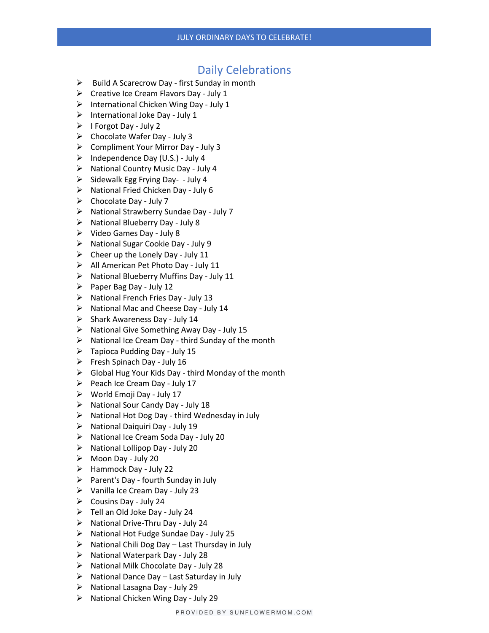## Daily Celebrations

- ➢ Build A Scarecrow Day first Sunday in month
- ➢ Creative Ice Cream Flavors Day July 1
- ➢ International Chicken Wing Day July 1
- $\triangleright$  International Joke Day July 1
- $\triangleright$  I Forgot Day July 2
- $\triangleright$  Chocolate Wafer Day July 3
- ➢ Compliment Your Mirror Day July 3
- $\triangleright$  Independence Day (U.S.) July 4
- ➢ National Country Music Day July 4
- ➢ Sidewalk Egg Frying Day- July 4
- ➢ National Fried Chicken Day July 6
- $\triangleright$  Chocolate Day July 7
- ➢ National Strawberry Sundae Day July 7
- ➢ National Blueberry Day July 8
- ➢ Video Games Day July 8
- ➢ National Sugar Cookie Day July 9
- $\triangleright$  Cheer up the Lonely Day July 11
- ➢ All American Pet Photo Day July 11
- ➢ National Blueberry Muffins Day July 11
- $\triangleright$  Paper Bag Day July 12
- ➢ National French Fries Day July 13
- ➢ National Mac and Cheese Day July 14
- $\triangleright$  Shark Awareness Day July 14
- ➢ National Give Something Away Day July 15
- $\triangleright$  National Ice Cream Day third Sunday of the month
- $\triangleright$  Tapioca Pudding Day July 15
- ➢ Fresh Spinach Day July 16
- $\triangleright$  Global Hug Your Kids Day third Monday of the month
- $\triangleright$  Peach Ice Cream Day July 17
- ➢ World Emoji Day July 17
- ➢ National Sour Candy Day July 18
- $\triangleright$  National Hot Dog Day third Wednesday in July
- ➢ National Daiquiri Day July 19
- ➢ National Ice Cream Soda Day July 20
- ➢ National Lollipop Day July 20
- ➢ Moon Day July 20
- $\triangleright$  Hammock Day July 22
- $\triangleright$  Parent's Day fourth Sunday in July
- $\triangleright$  Vanilla Ice Cream Day July 23
- $\triangleright$  Cousins Day July 24
- ➢ Tell an Old Joke Day July 24
- ➢ National Drive-Thru Day July 24
- ➢ National Hot Fudge Sundae Day July 25
- $\triangleright$  National Chili Dog Day Last Thursday in July
- ➢ National Waterpark Day July 28
- ➢ National Milk Chocolate Day July 28
- $\triangleright$  National Dance Day Last Saturday in July
- ➢ National Lasagna Day July 29
- ➢ National Chicken Wing Day July 29